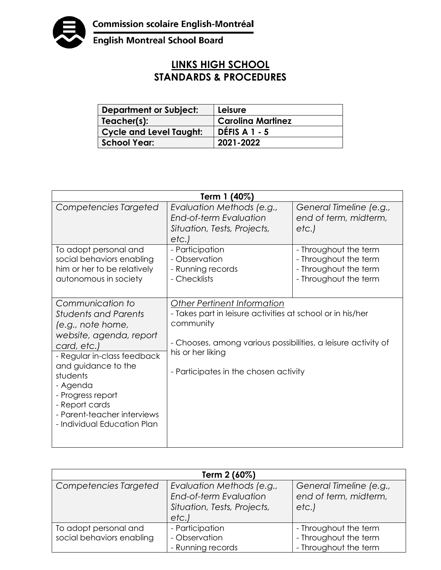

English Montreal School Board

## **LINKS HIGH SCHOOL STANDARDS & PROCEDURES**

| <b>Department or Subject:</b>  | Leisure                  |
|--------------------------------|--------------------------|
| Teacher(s):                    | <b>Carolina Martinez</b> |
| <b>Cycle and Level Taught:</b> | DÉFIS A $1 - 5$          |
| <b>School Year:</b>            | 2021-2022                |

| Term 1 (40%)                                                                                                                                                                                                                                                                                      |                                                                                                                                                                                                                                       |                                                                                                  |  |  |
|---------------------------------------------------------------------------------------------------------------------------------------------------------------------------------------------------------------------------------------------------------------------------------------------------|---------------------------------------------------------------------------------------------------------------------------------------------------------------------------------------------------------------------------------------|--------------------------------------------------------------------------------------------------|--|--|
| Competencies Targeted                                                                                                                                                                                                                                                                             | Evaluation Methods (e.g.,<br>End-of-term Evaluation<br>Situation, Tests, Projects,<br>etc.                                                                                                                                            | General Timeline (e.g.,<br>end of term, midterm,<br>etc.                                         |  |  |
| To adopt personal and<br>social behaviors enabling<br>him or her to be relatively<br>autonomous in society                                                                                                                                                                                        | - Participation<br>- Observation<br>- Running records<br>- Checklists                                                                                                                                                                 | - Throughout the term<br>- Throughout the term<br>- Throughout the term<br>- Throughout the term |  |  |
| Communication to<br><b>Students and Parents</b><br>(e.g., note home,<br>website, agenda, report<br>card, etc.)<br>- Regular in-class feedback<br>and guidance to the<br>students<br>- Agenda<br>- Progress report<br>- Report cards<br>- Parent-teacher interviews<br>- Individual Education Plan | Other Pertinent Information<br>- Takes part in leisure activities at school or in his/her<br>community<br>- Chooses, among various possibilities, a leisure activity of<br>his or her liking<br>- Participates in the chosen activity |                                                                                                  |  |  |

| Term 2 (60%)                                       |                                                                                            |                                                                         |  |
|----------------------------------------------------|--------------------------------------------------------------------------------------------|-------------------------------------------------------------------------|--|
| Competencies Targeted                              | Evaluation Methods (e.g.,<br>End-of-term Evaluation<br>Situation, Tests, Projects,<br>etc. | General Timeline (e.g.,<br>end of term, midterm,<br>etc.)               |  |
| To adopt personal and<br>social behaviors enabling | - Participation<br>- Observation<br>- Running records                                      | - Throughout the term<br>- Throughout the term<br>- Throughout the term |  |